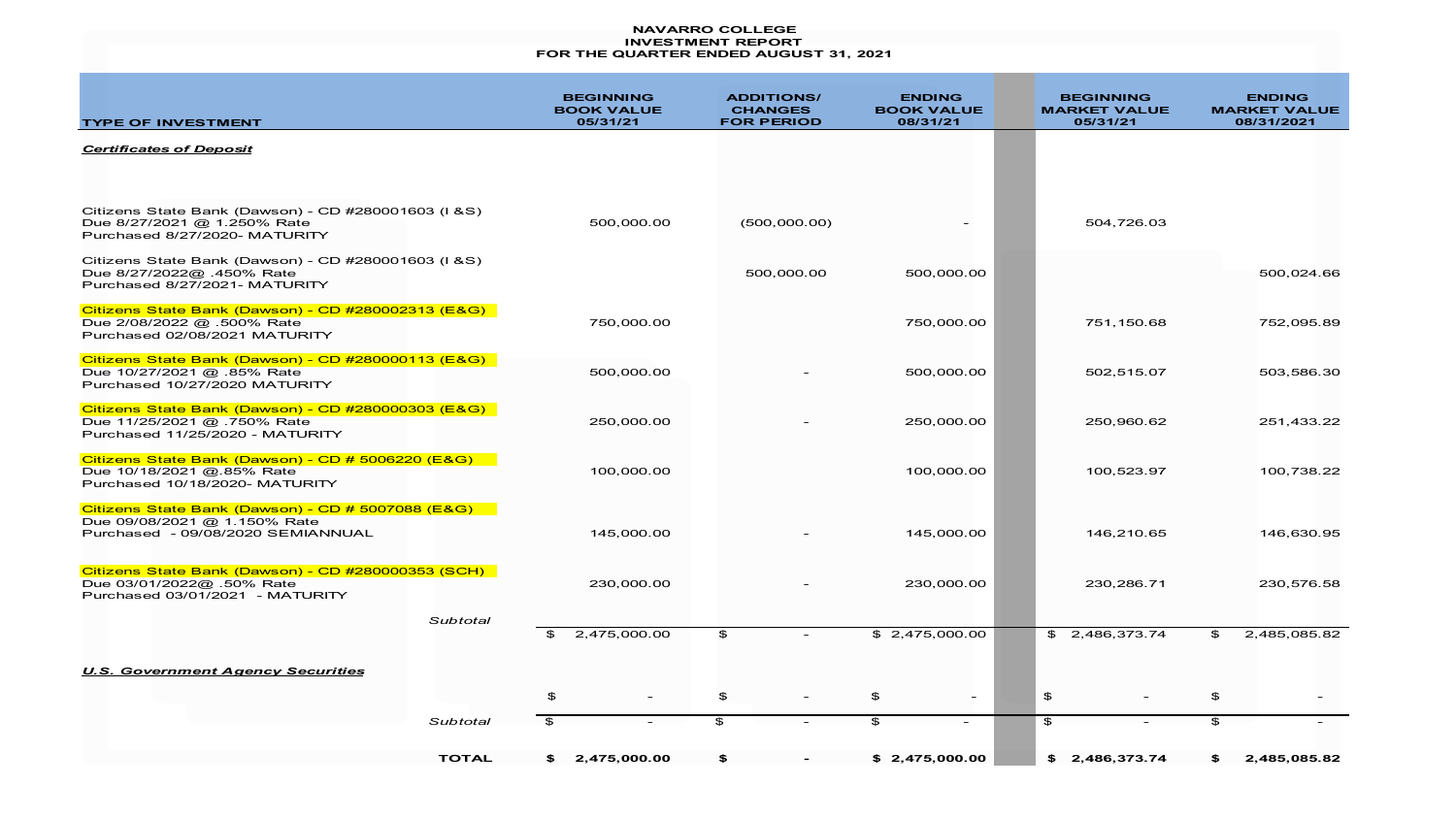#### **NAVARRO COLLEGE INVESTMENT REPORT FOR THE QUARTER ENDED AUGUST 31, 2021**

| <b>TYPE OF INVESTMENT</b>                                                                                              |              | <b>BEGINNING</b><br><b>BOOK VALUE</b><br>05/31/21 | <b>ADDITIONS/</b><br><b>CHANGES</b><br><b>FOR PERIOD</b> | <b>ENDING</b><br><b>BOOK VALUE</b><br>08/31/21 | <b>BEGINNING</b><br><b>MARKET VALUE</b><br>05/31/21 | <b>ENDING</b><br><b>MARKET VALUE</b><br>08/31/2021 |
|------------------------------------------------------------------------------------------------------------------------|--------------|---------------------------------------------------|----------------------------------------------------------|------------------------------------------------|-----------------------------------------------------|----------------------------------------------------|
| <b>Certificates of Deposit</b>                                                                                         |              |                                                   |                                                          |                                                |                                                     |                                                    |
|                                                                                                                        |              |                                                   |                                                          |                                                |                                                     |                                                    |
| Citizens State Bank (Dawson) - CD #280001603 (I & S)<br>Due 8/27/2021 @ 1.250% Rate<br>Purchased 8/27/2020- MATURITY   |              | 500,000.00                                        | (500,000.00)                                             |                                                | 504,726.03                                          |                                                    |
| Citizens State Bank (Dawson) - CD #280001603 (I &S)<br>Due 8/27/2022@ .450% Rate<br>Purchased 8/27/2021- MATURITY      |              |                                                   | 500,000.00                                               | 500,000.00                                     |                                                     | 500,024.66                                         |
| Citizens State Bank (Dawson) - CD #280002313 (E&G)<br>Due 2/08/2022 @ .500% Rate<br>Purchased 02/08/2021 MATURITY      |              | 750,000.00                                        |                                                          | 750,000.00                                     | 751,150.68                                          | 752,095.89                                         |
| Citizens State Bank (Dawson) - CD #280000113 (E&G)<br>Due 10/27/2021 @ .85% Rate<br>Purchased 10/27/2020 MATURITY      |              | 500,000.00                                        |                                                          | 500,000.00                                     | 502,515.07                                          | 503,586.30                                         |
| Citizens State Bank (Dawson) - CD #280000303 (E&G)<br>Due 11/25/2021 @ .750% Rate<br>Purchased 11/25/2020 - MATURITY   |              | 250,000.00                                        |                                                          | 250,000.00                                     | 250,960.62                                          | 251,433.22                                         |
| Citizens State Bank (Dawson) - CD # 5006220 (E&G)<br>Due 10/18/2021 @.85% Rate<br>Purchased 10/18/2020- MATURITY       |              | 100,000.00                                        |                                                          | 100,000.00                                     | 100,523.97                                          | 100,738.22                                         |
| Citizens State Bank (Dawson) - CD # 5007088 (E&G)<br>Due 09/08/2021 @ 1.150% Rate<br>Purchased - 09/08/2020 SEMIANNUAL |              | 145,000.00                                        |                                                          | 145,000.00                                     | 146.210.65                                          | 146,630.95                                         |
| Citizens State Bank (Dawson) - CD #280000353 (SCH)<br>Due 03/01/2022@ .50% Rate<br>Purchased 03/01/2021 - MATURITY     |              | 230,000.00                                        |                                                          | 230,000.00                                     | 230,286.71                                          | 230,576.58                                         |
|                                                                                                                        | Subtotal     | 2,475,000.00<br>- \$                              | $\mathfrak{P}$                                           | \$2,475,000.00                                 | \$2,486,373.74                                      | $\mathbf{r}$<br>2,485,085.82                       |
| <b>U.S. Government Agency Securities</b>                                                                               |              |                                                   |                                                          |                                                |                                                     |                                                    |
|                                                                                                                        |              | \$                                                | $\mathfrak{P}$                                           | \$<br>$\sim$                                   | $\mathfrak{P}$                                      | \$                                                 |
|                                                                                                                        | Subtotal     | $\mathfrak{P}$                                    | \$                                                       | $\mathfrak{P}$<br>$\overline{\phantom{a}}$     | $\mathfrak{P}$                                      | $\mathfrak{P}$                                     |
|                                                                                                                        | <b>TOTAL</b> | 2,475,000.00<br>S.                                | \$                                                       | \$2,475,000.00                                 | 2,486,373.74<br>\$                                  | 2,485,085.82<br>SS.                                |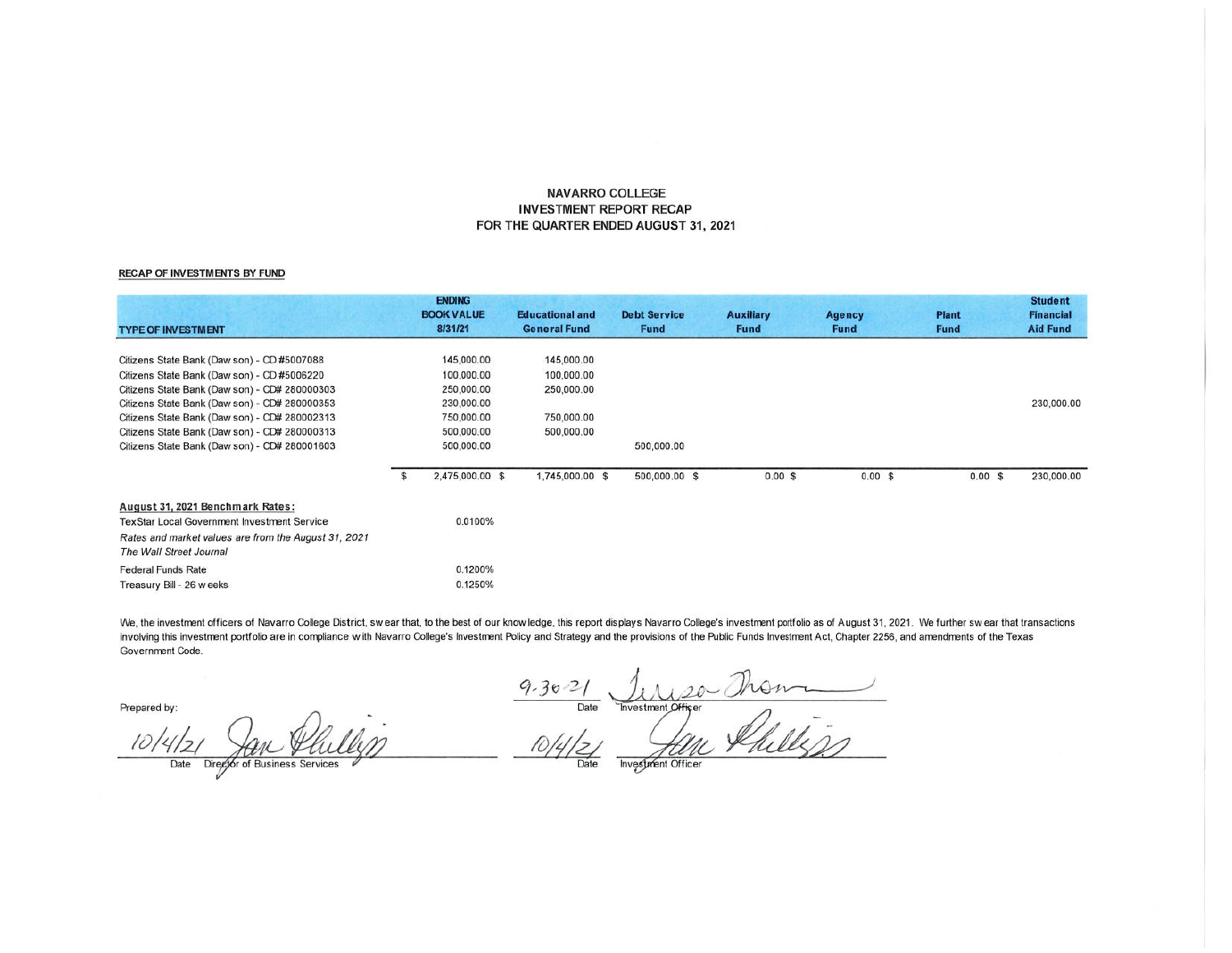### **NAVARRO COLLEGE INVESTMENT REPORT RECAP** FOR THE QUARTER ENDED AUGUST 31, 2021

#### **RECAP OF INVESTMENTS BY FUND**

| <b>TYPE OF INVESTMENT</b>                            |    | <b>ENDING</b><br><b>BOOK VALUE</b><br>8/31/21 | <b>Educational and</b><br><b>General Fund</b> | <b>Debt Service</b><br><b>Fund</b> | <b>Auxiliary</b><br><b>Fund</b> | Agency<br><b>Fund</b> | <b>Plant</b><br><b>Fund</b> | <b>Student</b><br><b>Financial</b><br><b>Aid Fund</b> |
|------------------------------------------------------|----|-----------------------------------------------|-----------------------------------------------|------------------------------------|---------------------------------|-----------------------|-----------------------------|-------------------------------------------------------|
|                                                      |    |                                               |                                               |                                    |                                 |                       |                             |                                                       |
| Citizens State Bank (Daw son) - CD #5007088          |    | 145,000.00                                    | 145,000.00                                    |                                    |                                 |                       |                             |                                                       |
| Citizens State Bank (Daw son) - CD #5006220          |    | 100,000.00                                    | 100,000.00                                    |                                    |                                 |                       |                             |                                                       |
| Citizens State Bank (Daw son) - CD# 280000303        |    | 250,000.00                                    | 250,000.00                                    |                                    |                                 |                       |                             |                                                       |
| Citizens State Bank (Daw son) - CD# 280000353        |    | 230,000.00                                    |                                               |                                    |                                 |                       |                             | 230,000.00                                            |
| Citizens State Bank (Daw son) - CD# 280002313        |    | 750,000.00                                    | 750,000.00                                    |                                    |                                 |                       |                             |                                                       |
| Citizens State Bank (Daw son) - CD# 280000313        |    | 500,000.00                                    | 500,000.00                                    |                                    |                                 |                       |                             |                                                       |
| Citizens State Bank (Daw son) - CD# 280001603        |    | 500,000.00                                    |                                               | 500,000.00                         |                                 |                       |                             |                                                       |
|                                                      | £. | 2,475,000.00 \$                               | 1,745,000.00 \$                               | 500,000.00 \$                      | $0.00$ \$                       | $0.00$ \$             | $0.00$ \$                   | 230,000.00                                            |
| August 31, 2021 Benchmark Rates:                     |    |                                               |                                               |                                    |                                 |                       |                             |                                                       |
| TexStar Local Government Investment Service          |    | 0.0100%                                       |                                               |                                    |                                 |                       |                             |                                                       |
| Rates and market values are from the August 31, 2021 |    |                                               |                                               |                                    |                                 |                       |                             |                                                       |
| The Wall Street Journal                              |    |                                               |                                               |                                    |                                 |                       |                             |                                                       |
| <b>Federal Funds Rate</b>                            |    | 0.1200%                                       |                                               |                                    |                                 |                       |                             |                                                       |
| Treasury Bill - 26 weeks                             |    | 0.1250%                                       |                                               |                                    |                                 |                       |                             |                                                       |

We, the investment officers of Navarro College District, swear that, to the best of our know ledge, this report displays Navarro College's investment portfolio as of August 31, 2021. We further swear that transactions involving this investment portfolio are in compliance with Navarro College's Investment Policy and Strategy and the provisions of the Public Funds Investment Act, Chapter 2256, and amendments of the Texas Government Code.

Date

Prepared by:

 $10/412$ 

Date Director of Business Services

9.30-21 June Threatment Officer<br>10/4/21 June Roll Phillips

Investment Officer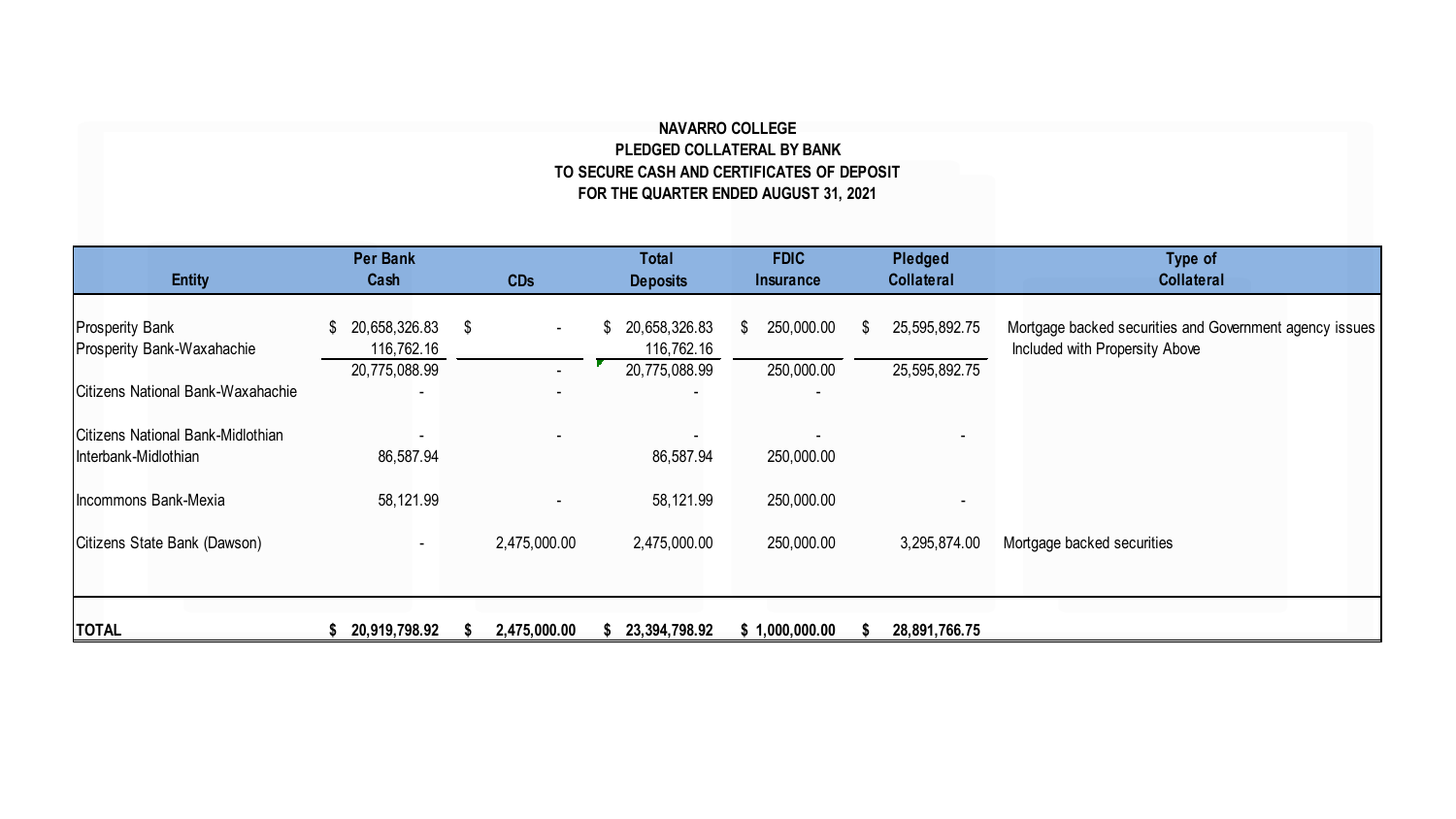## **NAVARRO COLLEGE PLEDGED COLLATERAL BY BANK TO SECURE CASH AND CERTIFICATES OF DEPOSIT FOR THE QUARTER ENDED AUGUST 31, 2021**

| <b>Entity</b>                                             | Per Bank<br>Cash            | <b>CDs</b>   | Total<br><b>Deposits</b>    | <b>FDIC</b><br><b>Insurance</b> | Pledged<br><b>Collateral</b> | Type of<br><b>Collateral</b>                            |
|-----------------------------------------------------------|-----------------------------|--------------|-----------------------------|---------------------------------|------------------------------|---------------------------------------------------------|
| <b>Prosperity Bank</b>                                    | \$ 20,658,326.83            | - \$         | 20,658,326.83<br>S          | 250,000.00<br>\$                | 25,595,892.75<br>\$.         | Mortgage backed securities and Government agency issues |
| Prosperity Bank-Waxahachie                                | 116,762.16<br>20,775,088.99 |              | 116,762.16<br>20,775,088.99 | 250,000.00                      | 25,595,892.75                | Included with Propersity Above                          |
| <b>Citizens National Bank-Waxahachie</b>                  |                             |              |                             |                                 |                              |                                                         |
| Citizens National Bank-Midlothian<br>Interbank-Midlothian | 86,587.94                   |              | 86,587.94                   | 250,000.00                      |                              |                                                         |
| Incommons Bank-Mexia                                      | 58,121.99                   |              | 58,121.99                   | 250,000.00                      |                              |                                                         |
| Citizens State Bank (Dawson)                              | $\overline{\phantom{a}}$    | 2,475,000.00 | 2,475,000.00                | 250,000.00                      | 3,295,874.00                 | Mortgage backed securities                              |
|                                                           |                             |              |                             |                                 |                              |                                                         |
| <b>TOTAL</b>                                              | \$ 20,919,798.92            | 2,475,000.00 | 23,394,798.92               | \$1,000,000.00                  | 28,891,766.75                |                                                         |